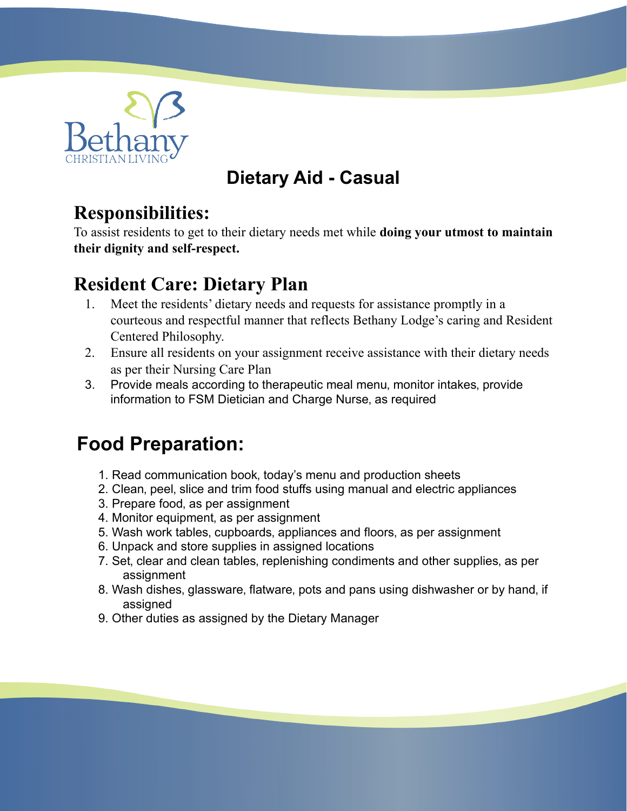

### **Dietary Aid - Casual**

#### **Responsibilities:**

To assist residents to get to their dietary needs met while **doing your utmost to maintain their dignity and self-respect.**

#### **Resident Care: Dietary Plan**

- 1. Meet the residents' dietary needs and requests for assistance promptly in a courteous and respectful manner that reflects Bethany Lodge's caring and Resident Centered Philosophy.
- 2. Ensure all residents on your assignment receive assistance with their dietary needs as per their Nursing Care Plan
- 3. Provide meals according to therapeutic meal menu, monitor intakes, provide information to FSM Dietician and Charge Nurse, as required

## **Food Preparation:**

- 1. Read communication book, today's menu and production sheets
- 2. Clean, peel, slice and trim food stuffs using manual and electric appliances
- 3. Prepare food, as per assignment
- 4. Monitor equipment, as per assignment
- 5. Wash work tables, cupboards, appliances and floors, as per assignment
- 6. Unpack and store supplies in assigned locations
- 7. Set, clear and clean tables, replenishing condiments and other supplies, as per assignment
- 8. Wash dishes, glassware, flatware, pots and pans using dishwasher or by hand, if assigned
- 9. Other duties as assigned by the Dietary Manager